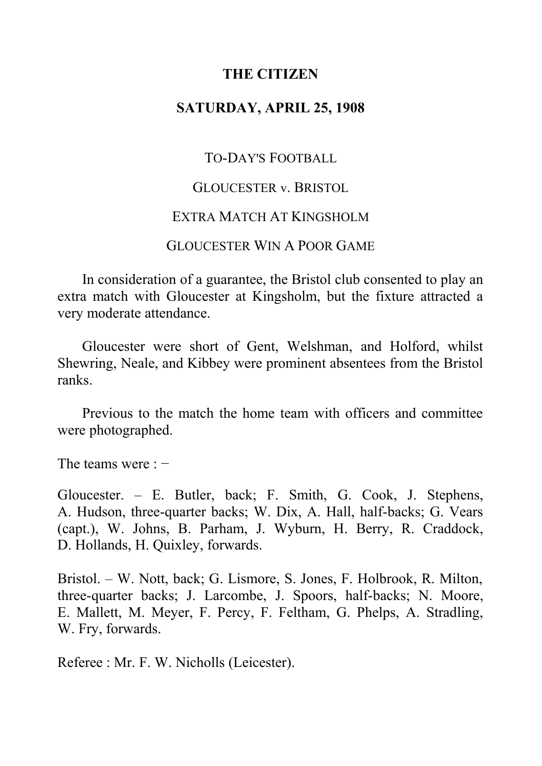# **THE CITIZEN**

## **SATURDAY, APRIL 25, 1908**

TO-DAY'S FOOTBALL

## GLOUCESTER v. BRISTOL

### EXTRA MATCH AT KINGSHOLM

## GLOUCESTER WIN A POOR GAME

In consideration of a guarantee, the Bristol club consented to play an extra match with Gloucester at Kingsholm, but the fixture attracted a very moderate attendance.

Gloucester were short of Gent, Welshman, and Holford, whilst Shewring, Neale, and Kibbey were prominent absentees from the Bristol ranks.

Previous to the match the home team with officers and committee were photographed.

The teams were : −

Gloucester. ‒ E. Butler, back; F. Smith, G. Cook, J. Stephens, A. Hudson, three-quarter backs; W. Dix, A. Hall, half-backs; G. Vears (capt.), W. Johns, B. Parham, J. Wyburn, H. Berry, R. Craddock, D. Hollands, H. Quixley, forwards.

Bristol. ‒ W. Nott, back; G. Lismore, S. Jones, F. Holbrook, R. Milton, three-quarter backs; J. Larcombe, J. Spoors, half-backs; N. Moore, E. Mallett, M. Meyer, F. Percy, F. Feltham, G. Phelps, A. Stradling, W. Fry, forwards.

Referee : Mr. F. W. Nicholls (Leicester).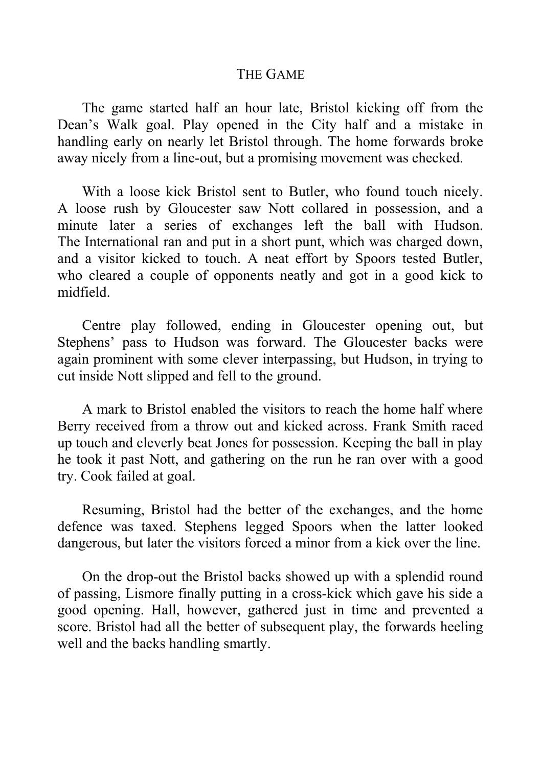#### THE GAME

The game started half an hour late, Bristol kicking off from the Dean's Walk goal. Play opened in the City half and a mistake in handling early on nearly let Bristol through. The home forwards broke away nicely from a line-out, but a promising movement was checked.

With a loose kick Bristol sent to Butler, who found touch nicely. A loose rush by Gloucester saw Nott collared in possession, and a minute later a series of exchanges left the ball with Hudson. The International ran and put in a short punt, which was charged down, and a visitor kicked to touch. A neat effort by Spoors tested Butler, who cleared a couple of opponents neatly and got in a good kick to midfield.

Centre play followed, ending in Gloucester opening out, but Stephens' pass to Hudson was forward. The Gloucester backs were again prominent with some clever interpassing, but Hudson, in trying to cut inside Nott slipped and fell to the ground.

A mark to Bristol enabled the visitors to reach the home half where Berry received from a throw out and kicked across. Frank Smith raced up touch and cleverly beat Jones for possession. Keeping the ball in play he took it past Nott, and gathering on the run he ran over with a good try. Cook failed at goal.

Resuming, Bristol had the better of the exchanges, and the home defence was taxed. Stephens legged Spoors when the latter looked dangerous, but later the visitors forced a minor from a kick over the line.

On the drop-out the Bristol backs showed up with a splendid round of passing, Lismore finally putting in a cross-kick which gave his side a good opening. Hall, however, gathered just in time and prevented a score. Bristol had all the better of subsequent play, the forwards heeling well and the backs handling smartly.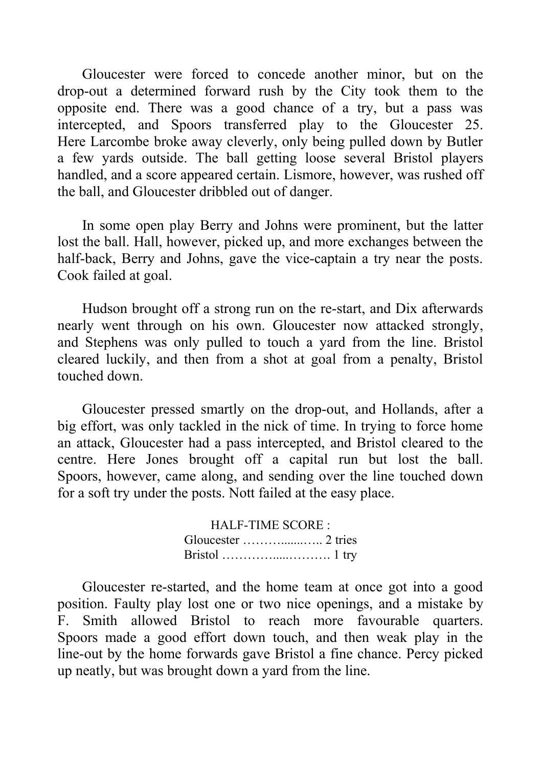Gloucester were forced to concede another minor, but on the drop-out a determined forward rush by the City took them to the opposite end. There was a good chance of a try, but a pass was intercepted, and Spoors transferred play to the Gloucester 25. Here Larcombe broke away cleverly, only being pulled down by Butler a few yards outside. The ball getting loose several Bristol players handled, and a score appeared certain. Lismore, however, was rushed off the ball, and Gloucester dribbled out of danger.

In some open play Berry and Johns were prominent, but the latter lost the ball. Hall, however, picked up, and more exchanges between the half-back, Berry and Johns, gave the vice-captain a try near the posts. Cook failed at goal.

Hudson brought off a strong run on the re-start, and Dix afterwards nearly went through on his own. Gloucester now attacked strongly, and Stephens was only pulled to touch a yard from the line. Bristol cleared luckily, and then from a shot at goal from a penalty, Bristol touched down.

Gloucester pressed smartly on the drop-out, and Hollands, after a big effort, was only tackled in the nick of time. In trying to force home an attack, Gloucester had a pass intercepted, and Bristol cleared to the centre. Here Jones brought off a capital run but lost the ball. Spoors, however, came along, and sending over the line touched down for a soft try under the posts. Nott failed at the easy place.

> HALF-TIME SCORE : Gloucester ……….......….. 2 tries Bristol ………….....………. 1 try

Gloucester re-started, and the home team at once got into a good position. Faulty play lost one or two nice openings, and a mistake by F. Smith allowed Bristol to reach more favourable quarters. Spoors made a good effort down touch, and then weak play in the line-out by the home forwards gave Bristol a fine chance. Percy picked up neatly, but was brought down a yard from the line.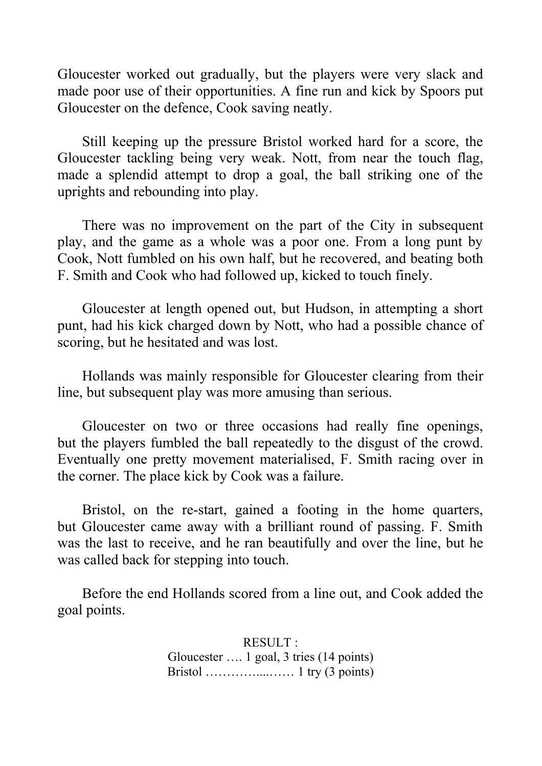Gloucester worked out gradually, but the players were very slack and made poor use of their opportunities. A fine run and kick by Spoors put Gloucester on the defence, Cook saving neatly.

Still keeping up the pressure Bristol worked hard for a score, the Gloucester tackling being very weak. Nott, from near the touch flag, made a splendid attempt to drop a goal, the ball striking one of the uprights and rebounding into play.

There was no improvement on the part of the City in subsequent play, and the game as a whole was a poor one. From a long punt by Cook, Nott fumbled on his own half, but he recovered, and beating both F. Smith and Cook who had followed up, kicked to touch finely.

Gloucester at length opened out, but Hudson, in attempting a short punt, had his kick charged down by Nott, who had a possible chance of scoring, but he hesitated and was lost.

Hollands was mainly responsible for Gloucester clearing from their line, but subsequent play was more amusing than serious.

Gloucester on two or three occasions had really fine openings, but the players fumbled the ball repeatedly to the disgust of the crowd. Eventually one pretty movement materialised, F. Smith racing over in the corner. The place kick by Cook was a failure.

Bristol, on the re-start, gained a footing in the home quarters, but Gloucester came away with a brilliant round of passing. F. Smith was the last to receive, and he ran beautifully and over the line, but he was called back for stepping into touch.

Before the end Hollands scored from a line out, and Cook added the goal points.

> RESULT : Gloucester …. 1 goal, 3 tries (14 points) Bristol …………....…… 1 try (3 points)